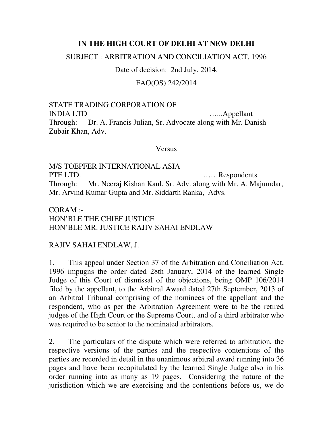## **IN THE HIGH COURT OF DELHI AT NEW DELHI**

SUBJECT : ARBITRATION AND CONCILIATION ACT, 1996

Date of decision: 2nd July, 2014.

## FAO(OS) 242/2014

STATE TRADING CORPORATION OF INDIA LTD …...Appellant Through: Dr. A. Francis Julian, Sr. Advocate along with Mr. Danish Zubair Khan, Adv.

## Versus

M/S TOEPFER INTERNATIONAL ASIA PTE LTD. ......Respondents Through: Mr. Neeraj Kishan Kaul, Sr. Adv. along with Mr. A. Majumdar, Mr. Arvind Kumar Gupta and Mr. Siddarth Ranka, Advs.

CORAM :- HON'BLE THE CHIEF JUSTICE HON'BLE MR. JUSTICE RAJIV SAHAI ENDLAW

## RAJIV SAHAI ENDLAW, J.

1. This appeal under Section 37 of the Arbitration and Conciliation Act, 1996 impugns the order dated 28th January, 2014 of the learned Single Judge of this Court of dismissal of the objections, being OMP 106/2014 filed by the appellant, to the Arbitral Award dated 27th September, 2013 of an Arbitral Tribunal comprising of the nominees of the appellant and the respondent, who as per the Arbitration Agreement were to be the retired judges of the High Court or the Supreme Court, and of a third arbitrator who was required to be senior to the nominated arbitrators.

2. The particulars of the dispute which were referred to arbitration, the respective versions of the parties and the respective contentions of the parties are recorded in detail in the unanimous arbitral award running into 36 pages and have been recapitulated by the learned Single Judge also in his order running into as many as 19 pages. Considering the nature of the jurisdiction which we are exercising and the contentions before us, we do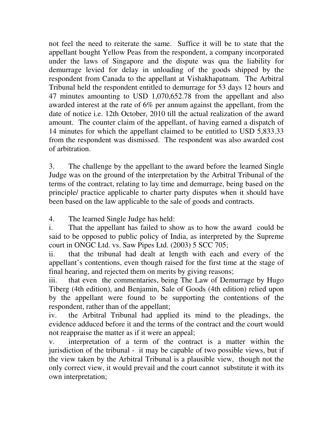not feel the need to reiterate the same. Suffice it will be to state that the appellant bought Yellow Peas from the respondent, a company incorporated under the laws of Singapore and the dispute was qua the liability for demurrage levied for delay in unloading of the goods shipped by the respondent from Canada to the appellant at Vishakhapatnam. The Arbitral Tribunal held the respondent entitled to demurrage for 53 days 12 hours and 47 minutes amounting to USD 1,070,652.78 from the appellant and also awarded interest at the rate of 6% per annum against the appellant, from the date of notice i.e. 12th October, 2010 till the actual realization of the award amount. The counter claim of the appellant, of having earned a dispatch of 14 minutes for which the appellant claimed to be entitled to USD 5,833.33 from the respondent was dismissed. The respondent was also awarded cost of arbitration.

3. The challenge by the appellant to the award before the learned Single Judge was on the ground of the interpretation by the Arbitral Tribunal of the terms of the contract, relating to lay time and demurrage, being based on the principle/ practice applicable to charter party disputes when it should have been based on the law applicable to the sale of goods and contracts.

4. The learned Single Judge has held:

i. That the appellant has failed to show as to how the award could be said to be opposed to public policy of India, as interpreted by the Supreme court in ONGC Ltd. vs. Saw Pipes Ltd. (2003) 5 SCC 705;

ii. that the tribunal had dealt at length with each and every of the appellant's contentions, even though raised for the first time at the stage of final hearing, and rejected them on merits by giving reasons;

iii. that even the commentaries, being The Law of Demurrage by Hugo Tiberg (4th edition), and Benjamin, Sale of Goods (4th edition) relied upon by the appellant were found to be supporting the contentions of the respondent, rather than of the appellant;

iv. the Arbitral Tribunal had applied its mind to the pleadings, the evidence adduced before it and the terms of the contract and the court would not reappraise the matter as if it were an appeal;

v. interpretation of a term of the contract is a matter within the jurisdiction of the tribunal - it may be capable of two possible views, but if the view taken by the Arbitral Tribunal is a plausible view, though not the only correct view, it would prevail and the court cannot substitute it with its own interpretation;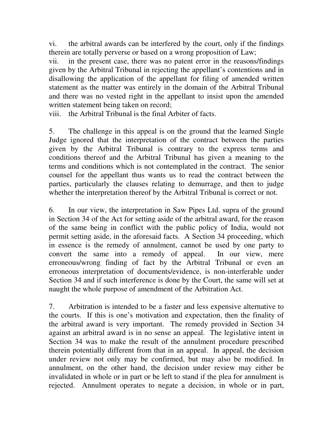vi. the arbitral awards can be interfered by the court, only if the findings therein are totally perverse or based on a wrong proposition of Law;

vii. in the present case, there was no patent error in the reasons/findings given by the Arbitral Tribunal in rejecting the appellant's contentions and in disallowing the application of the appellant for filing of amended written statement as the matter was entirely in the domain of the Arbitral Tribunal and there was no vested right in the appellant to insist upon the amended written statement being taken on record;

viii. the Arbitral Tribunal is the final Arbiter of facts.

5. The challenge in this appeal is on the ground that the learned Single Judge ignored that the interpretation of the contract between the parties given by the Arbitral Tribunal is contrary to the express terms and conditions thereof and the Arbitral Tribunal has given a meaning to the terms and conditions which is not contemplated in the contract. The senior counsel for the appellant thus wants us to read the contract between the parties, particularly the clauses relating to demurrage, and then to judge whether the interpretation thereof by the Arbitral Tribunal is correct or not.

6. In our view, the interpretation in Saw Pipes Ltd. supra of the ground in Section 34 of the Act for setting aside of the arbitral award, for the reason of the same being in conflict with the public policy of India, would not permit setting aside, in the aforesaid facts. A Section 34 proceeding, which in essence is the remedy of annulment, cannot be used by one party to convert the same into a remedy of appeal. In our view, mere erroneous/wrong finding of fact by the Arbitral Tribunal or even an erroneous interpretation of documents/evidence, is non-interferable under Section 34 and if such interference is done by the Court, the same will set at naught the whole purpose of amendment of the Arbitration Act.

7. Arbitration is intended to be a faster and less expensive alternative to the courts. If this is one's motivation and expectation, then the finality of the arbitral award is very important. The remedy provided in Section 34 against an arbitral award is in no sense an appeal. The legislative intent in Section 34 was to make the result of the annulment procedure prescribed therein potentially different from that in an appeal. In appeal, the decision under review not only may be confirmed, but may also be modified. In annulment, on the other hand, the decision under review may either be invalidated in whole or in part or be left to stand if the plea for annulment is rejected. Annulment operates to negate a decision, in whole or in part,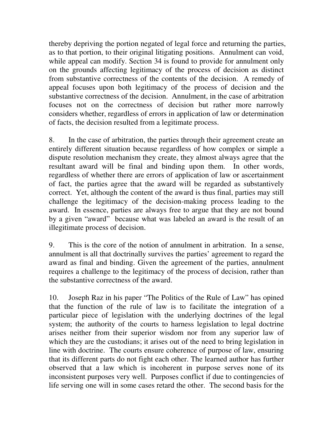thereby depriving the portion negated of legal force and returning the parties, as to that portion, to their original litigating positions. Annulment can void, while appeal can modify. Section 34 is found to provide for annulment only on the grounds affecting legitimacy of the process of decision as distinct from substantive correctness of the contents of the decision. A remedy of appeal focuses upon both legitimacy of the process of decision and the substantive correctness of the decision. Annulment, in the case of arbitration focuses not on the correctness of decision but rather more narrowly considers whether, regardless of errors in application of law or determination of facts, the decision resulted from a legitimate process.

8. In the case of arbitration, the parties through their agreement create an entirely different situation because regardless of how complex or simple a dispute resolution mechanism they create, they almost always agree that the resultant award will be final and binding upon them. In other words, regardless of whether there are errors of application of law or ascertainment of fact, the parties agree that the award will be regarded as substantively correct. Yet, although the content of the award is thus final, parties may still challenge the legitimacy of the decision-making process leading to the award. In essence, parties are always free to argue that they are not bound by a given "award" because what was labeled an award is the result of an illegitimate process of decision.

9. This is the core of the notion of annulment in arbitration. In a sense, annulment is all that doctrinally survives the parties' agreement to regard the award as final and binding. Given the agreement of the parties, annulment requires a challenge to the legitimacy of the process of decision, rather than the substantive correctness of the award.

10. Joseph Raz in his paper "The Politics of the Rule of Law" has opined that the function of the rule of law is to facilitate the integration of a particular piece of legislation with the underlying doctrines of the legal system; the authority of the courts to harness legislation to legal doctrine arises neither from their superior wisdom nor from any superior law of which they are the custodians; it arises out of the need to bring legislation in line with doctrine. The courts ensure coherence of purpose of law, ensuring that its different parts do not fight each other. The learned author has further observed that a law which is incoherent in purpose serves none of its inconsistent purposes very well. Purposes conflict if due to contingencies of life serving one will in some cases retard the other. The second basis for the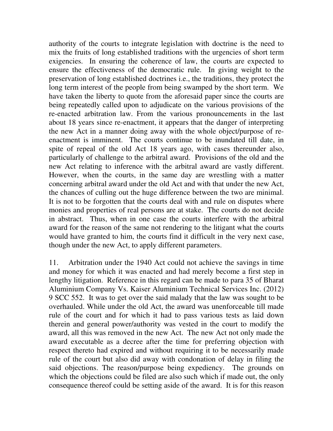authority of the courts to integrate legislation with doctrine is the need to mix the fruits of long established traditions with the urgencies of short term exigencies. In ensuring the coherence of law, the courts are expected to ensure the effectiveness of the democratic rule. In giving weight to the preservation of long established doctrines i.e., the traditions, they protect the long term interest of the people from being swamped by the short term. We have taken the liberty to quote from the aforesaid paper since the courts are being repeatedly called upon to adjudicate on the various provisions of the re-enacted arbitration law. From the various pronouncements in the last about 18 years since re-enactment, it appears that the danger of interpreting the new Act in a manner doing away with the whole object/purpose of reenactment is imminent. The courts continue to be inundated till date, in spite of repeal of the old Act 18 years ago, with cases thereunder also, particularly of challenge to the arbitral award. Provisions of the old and the new Act relating to inference with the arbitral award are vastly different. However, when the courts, in the same day are wrestling with a matter concerning arbitral award under the old Act and with that under the new Act, the chances of culling out the huge difference between the two are minimal. It is not to be forgotten that the courts deal with and rule on disputes where monies and properties of real persons are at stake. The courts do not decide in abstract. Thus, when in one case the courts interfere with the arbitral award for the reason of the same not rendering to the litigant what the courts would have granted to him, the courts find it difficult in the very next case, though under the new Act, to apply different parameters.

11. Arbitration under the 1940 Act could not achieve the savings in time and money for which it was enacted and had merely become a first step in lengthy litigation. Reference in this regard can be made to para 35 of Bharat Aluminium Company Vs. Kaiser Aluminium Technical Services Inc. (2012) 9 SCC 552. It was to get over the said malady that the law was sought to be overhauled. While under the old Act, the award was unenforceable till made rule of the court and for which it had to pass various tests as laid down therein and general power/authority was vested in the court to modify the award, all this was removed in the new Act. The new Act not only made the award executable as a decree after the time for preferring objection with respect thereto had expired and without requiring it to be necessarily made rule of the court but also did away with condonation of delay in filing the said objections. The reason/purpose being expediency. The grounds on which the objections could be filed are also such which if made out, the only consequence thereof could be setting aside of the award. It is for this reason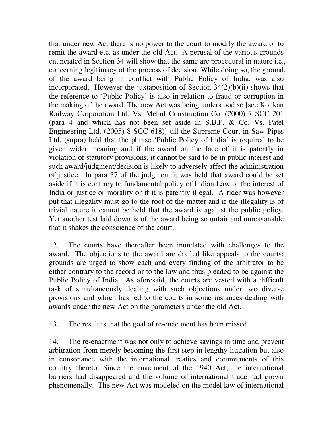that under new Act there is no power to the court to modify the award or to remit the award etc. as under the old Act. A perusal of the various grounds enunciated in Section 34 will show that the same are procedural in nature i.e., concerning legitimacy of the process of decision. While doing so, the ground, of the award being in conflict with Public Policy of India, was also incorporated. However the juxtaposition of Section  $34(2)(b)(ii)$  shows that the reference to 'Public Policy' is also in relation to fraud or corruption in the making of the award. The new Act was being understood so [see Konkan Railway Corporation Ltd. Vs. Mehul Construction Co. (2000) 7 SCC 201 (para 4 and which has not been set aside in S.B.P. & Co. Vs. Patel Engineering Ltd. (2005) 8 SCC 618)] till the Supreme Court in Saw Pipes Ltd. (supra) held that the phrase 'Public Policy of India' is required to be given wider meaning and if the award on the face of it is patently in violation of statutory provisions, it cannot be said to be in public interest and such award/judgment/decision is likely to adversely affect the administration of justice. In para 37 of the judgment it was held that award could be set aside if it is contrary to fundamental policy of Indian Law or the interest of India or justice or morality or if it is patently illegal. A rider was however put that illegality must go to the root of the matter and if the illegality is of trivial nature it cannot be held that the award is against the public policy. Yet another test laid down is of the award being so unfair and unreasonable that it shakes the conscience of the court.

12. The courts have thereafter been inundated with challenges to the award. The objections to the award are drafted like appeals to the courts; grounds are urged to show each and every finding of the arbitrator to be either contrary to the record or to the law and thus pleaded to be against the Public Policy of India. As aforesaid, the courts are vested with a difficult task of simultaneously dealing with such objections under two diverse provisions and which has led to the courts in some instances dealing with awards under the new Act on the parameters under the old Act.

13. The result is that the goal of re-enactment has been missed.

14. The re-enactment was not only to achieve savings in time and prevent arbitration from merely becoming the first step in lengthy litigation but also in consonance with the international treaties and commitments of this country thereto. Since the enactment of the 1940 Act, the international barriers had disappeared and the volume of international trade had grown phenomenally. The new Act was modeled on the model law of international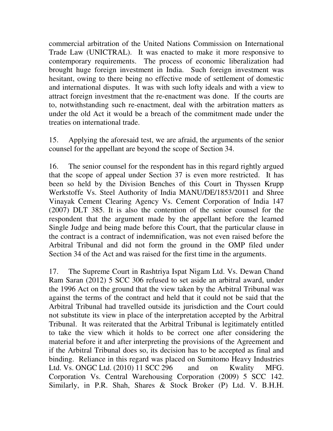commercial arbitration of the United Nations Commission on International Trade Law (UNICTRAL). It was enacted to make it more responsive to contemporary requirements. The process of economic liberalization had brought huge foreign investment in India. Such foreign investment was hesitant, owing to there being no effective mode of settlement of domestic and international disputes. It was with such lofty ideals and with a view to attract foreign investment that the re-enactment was done. If the courts are to, notwithstanding such re-enactment, deal with the arbitration matters as under the old Act it would be a breach of the commitment made under the treaties on international trade.

15. Applying the aforesaid test, we are afraid, the arguments of the senior counsel for the appellant are beyond the scope of Section 34.

16. The senior counsel for the respondent has in this regard rightly argued that the scope of appeal under Section 37 is even more restricted. It has been so held by the Division Benches of this Court in Thyssen Krupp Werkstoffe Vs. Steel Authority of India MANU/DE/1853/2011 and Shree Vinayak Cement Clearing Agency Vs. Cement Corporation of India 147 (2007) DLT 385. It is also the contention of the senior counsel for the respondent that the argument made by the appellant before the learned Single Judge and being made before this Court, that the particular clause in the contract is a contract of indemnification, was not even raised before the Arbitral Tribunal and did not form the ground in the OMP filed under Section 34 of the Act and was raised for the first time in the arguments.

17. The Supreme Court in Rashtriya Ispat Nigam Ltd. Vs. Dewan Chand Ram Saran (2012) 5 SCC 306 refused to set aside an arbitral award, under the 1996 Act on the ground that the view taken by the Arbitral Tribunal was against the terms of the contract and held that it could not be said that the Arbitral Tribunal had travelled outside its jurisdiction and the Court could not substitute its view in place of the interpretation accepted by the Arbitral Tribunal. It was reiterated that the Arbitral Tribunal is legitimately entitled to take the view which it holds to be correct one after considering the material before it and after interpreting the provisions of the Agreement and if the Arbitral Tribunal does so, its decision has to be accepted as final and binding. Reliance in this regard was placed on Sumitomo Heavy Industries Ltd. Vs. ONGC Ltd. (2010) 11 SCC 296 and on Kwality MFG. Corporation Vs. Central Warehousing Corporation (2009) 5 SCC 142. Similarly, in P.R. Shah, Shares & Stock Broker (P) Ltd. V. B.H.H.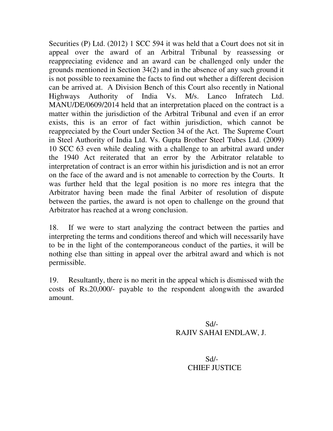Securities (P) Ltd. (2012) 1 SCC 594 it was held that a Court does not sit in appeal over the award of an Arbitral Tribunal by reassessing or reappreciating evidence and an award can be challenged only under the grounds mentioned in Section 34(2) and in the absence of any such ground it is not possible to reexamine the facts to find out whether a different decision can be arrived at. A Division Bench of this Court also recently in National Highways Authority of India Vs. M/s. Lanco Infratech Ltd. MANU/DE/0609/2014 held that an interpretation placed on the contract is a matter within the jurisdiction of the Arbitral Tribunal and even if an error exists, this is an error of fact within jurisdiction, which cannot be reappreciated by the Court under Section 34 of the Act. The Supreme Court in Steel Authority of India Ltd. Vs. Gupta Brother Steel Tubes Ltd. (2009) 10 SCC 63 even while dealing with a challenge to an arbitral award under the 1940 Act reiterated that an error by the Arbitrator relatable to interpretation of contract is an error within his jurisdiction and is not an error on the face of the award and is not amenable to correction by the Courts. It was further held that the legal position is no more res integra that the Arbitrator having been made the final Arbiter of resolution of dispute between the parties, the award is not open to challenge on the ground that Arbitrator has reached at a wrong conclusion.

18. If we were to start analyzing the contract between the parties and interpreting the terms and conditions thereof and which will necessarily have to be in the light of the contemporaneous conduct of the parties, it will be nothing else than sitting in appeal over the arbitral award and which is not permissible.

19. Resultantly, there is no merit in the appeal which is dismissed with the costs of Rs.20,000/- payable to the respondent alongwith the awarded amount.

 Sd/- RAJIV SAHAI ENDLAW, J.

 Sd/- CHIEF JUSTICE